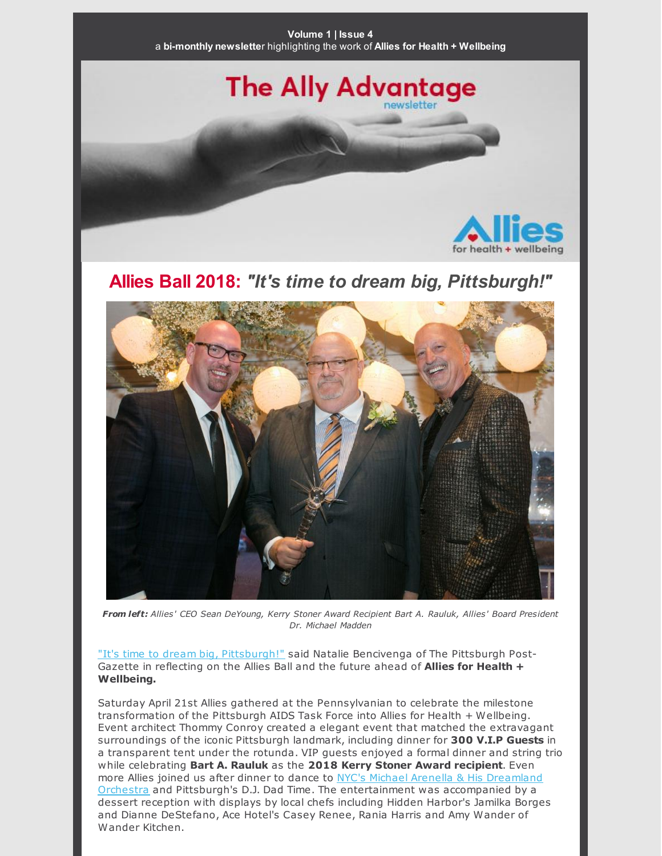The Ally Advantage

for health + wellbein

## **Allies Ball 2018:** *"It's time to dream big, Pittsburgh!"*



*From left: Allies' CEO Sean DeYoung, Kerry Stoner Award Recipient Bart A. Rauluk, Allies' Board President Dr. Michael Madden*

"It's time to dream big, [Pittsburgh!"](http://www.post-gazette.com/life/seen/2018/04/23/Allies-Ball-Allies-for-Health-and-Wellness/stories/201804230032) said Natalie Bencivenga of The Pittsburgh Post-Gazette in reflecting on the Allies Ball and the future ahead of **Allies for Health + Wellbeing.**

Saturday April 21st Allies gathered at the Pennsylvanian to celebrate the milestone transformation of the Pittsburgh AIDS Task Force into Allies for Health + Wellbeing. Event architect Thommy Conroy created a elegant event that matched the extravagant surroundings of the iconic Pittsburgh landmark, including dinner for **300 V.I.P Guests** in a transparent tent under the rotunda. VIP guests enjoyed a formal dinner and string trio while celebrating **Bart A. Rauluk** as the **2018 Kerry Stoner Award recipient**. Even more Allies joined us after dinner to dance to NYC's Michael Arenella & His Dreamland Orchestra and Pittsburgh's D.J. Dad Time. The [entertainment](https://www.youtube.com/watch?v=oOf3krf6AKI) was accompanied by a dessert reception with displays by local chefs including Hidden Harbor's Jamilka Borges and Dianne DeStefano, Ace Hotel's Casey Renee, Rania Harris and Amy Wander of Wander Kitchen.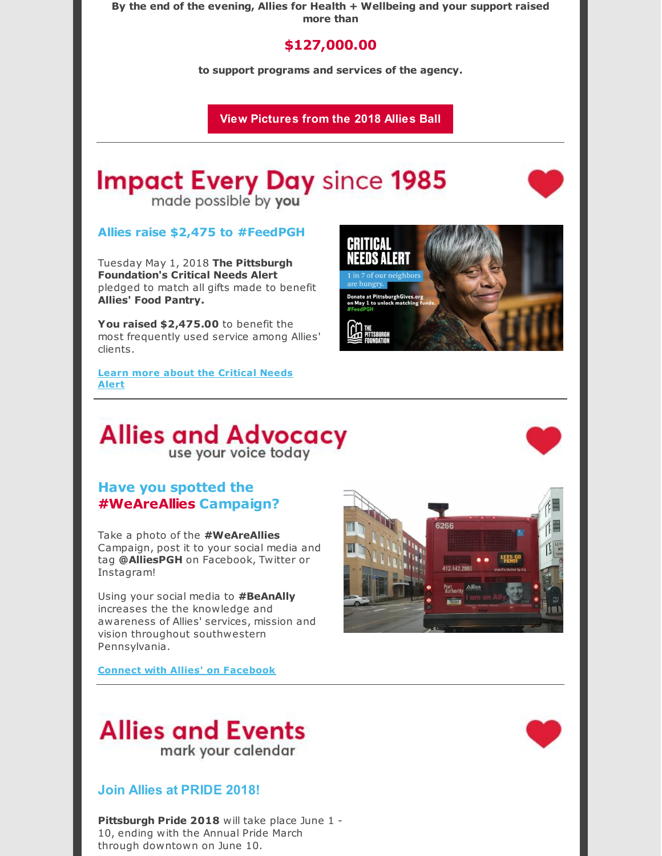**By the end of the evening, Allies for Health + Wellbeing and your support raised more than**

### **\$127,000.00**

**to support programs and services of the agency.**

**View Pictures from the 2018 Allies Ball**

# **Impact Every Day since 1985**

made possible by you

#### **Allies raise \$2,475 to #FeedPGH**

Tuesday May 1, 2018 **The Pittsburgh Foundation's Critical Needs Alert** pledged to match all gifts made to benefit **Allies' Food Pantry.**

**You raised \$2,475.00** to benefit the most frequently used service among Allies' clients.

**Learn more about the [Critical](https://www.pittsburghgives.org/) Needs Alert**



## **Allies and Advocacy** use your voice today

#### **Have you spotted the #WeAreAllies Campaign?**

Take a photo of the **#WeAreAllies** Campaign, post it to your social media and tag **@AlliesPGH** on Facebook, Twitter or Instagram!

Using your social media to **#BeAnAlly** increases the the knowledge and awareness of Allies' services, mission and vision throughout southwestern Pennsylvania.



**Connect with Allies' on [Facebook](https://www.facebook.com/AlliesPGH/)**

## **Allies and Events** mark your calendar

#### **Join Allies at PRIDE 2018!**

**Pittsburgh Pride 2018** will take place June 1 - 10, ending with the Annual Pride March through downtown on June 10.